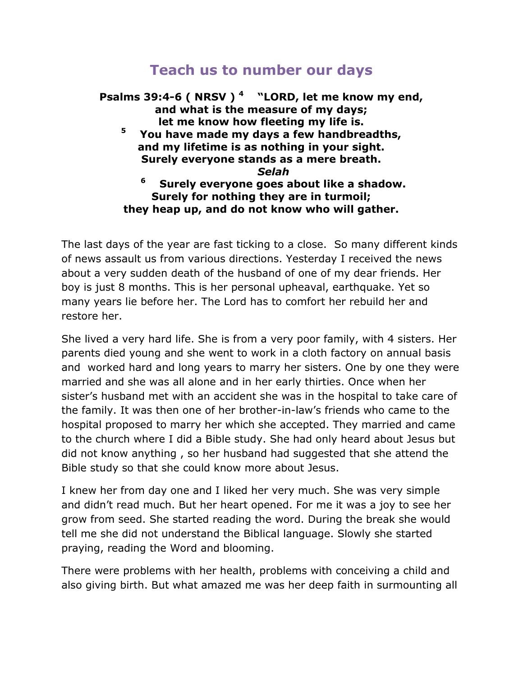## **Teach us to number our days**

**Psalms 39:4-6 ( NRSV ) <sup>4</sup> "LORD, let me know my end, and what is the measure of my days; let me know how fleeting my life is. 5 You have made my days a few handbreadths, and my lifetime is as nothing in your sight. Surely everyone stands as a mere breath.** *Selah* **6 Surely everyone goes about like a shadow. Surely for nothing they are in turmoil; they heap up, and do not know who will gather.**

The last days of the year are fast ticking to a close. So many different kinds of news assault us from various directions. Yesterday I received the news about a very sudden death of the husband of one of my dear friends. Her boy is just 8 months. This is her personal upheaval, earthquake. Yet so many years lie before her. The Lord has to comfort her rebuild her and restore her.

She lived a very hard life. She is from a very poor family, with 4 sisters. Her parents died young and she went to work in a cloth factory on annual basis and worked hard and long years to marry her sisters. One by one they were married and she was all alone and in her early thirties. Once when her sister's husband met with an accident she was in the hospital to take care of the family. It was then one of her brother-in-law's friends who came to the hospital proposed to marry her which she accepted. They married and came to the church where I did a Bible study. She had only heard about Jesus but did not know anything , so her husband had suggested that she attend the Bible study so that she could know more about Jesus.

I knew her from day one and I liked her very much. She was very simple and didn't read much. But her heart opened. For me it was a joy to see her grow from seed. She started reading the word. During the break she would tell me she did not understand the Biblical language. Slowly she started praying, reading the Word and blooming.

There were problems with her health, problems with conceiving a child and also giving birth. But what amazed me was her deep faith in surmounting all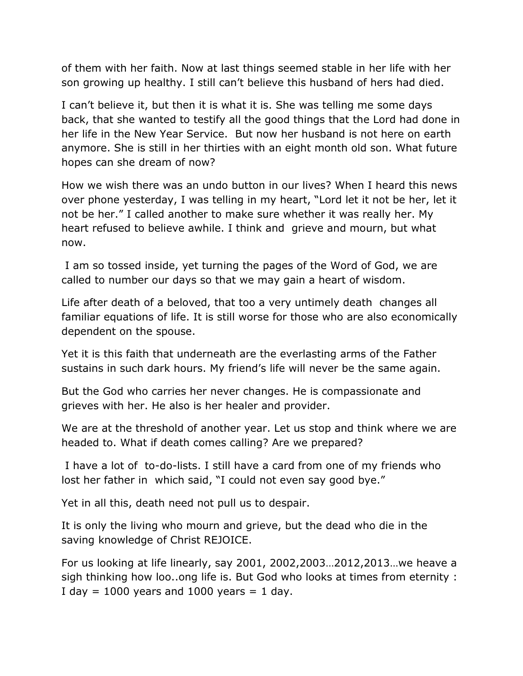of them with her faith. Now at last things seemed stable in her life with her son growing up healthy. I still can't believe this husband of hers had died.

I can't believe it, but then it is what it is. She was telling me some days back, that she wanted to testify all the good things that the Lord had done in her life in the New Year Service. But now her husband is not here on earth anymore. She is still in her thirties with an eight month old son. What future hopes can she dream of now?

How we wish there was an undo button in our lives? When I heard this news over phone yesterday, I was telling in my heart, "Lord let it not be her, let it not be her." I called another to make sure whether it was really her. My heart refused to believe awhile. I think and grieve and mourn, but what now.

I am so tossed inside, yet turning the pages of the Word of God, we are called to number our days so that we may gain a heart of wisdom.

Life after death of a beloved, that too a very untimely death changes all familiar equations of life. It is still worse for those who are also economically dependent on the spouse.

Yet it is this faith that underneath are the everlasting arms of the Father sustains in such dark hours. My friend's life will never be the same again.

But the God who carries her never changes. He is compassionate and grieves with her. He also is her healer and provider.

We are at the threshold of another year. Let us stop and think where we are headed to. What if death comes calling? Are we prepared?

I have a lot of to-do-lists. I still have a card from one of my friends who lost her father in which said, "I could not even say good bye."

Yet in all this, death need not pull us to despair.

It is only the living who mourn and grieve, but the dead who die in the saving knowledge of Christ REJOICE.

For us looking at life linearly, say 2001, 2002,2003…2012,2013…we heave a sigh thinking how loo..ong life is. But God who looks at times from eternity : I day  $= 1000$  years and 1000 years  $= 1$  day.